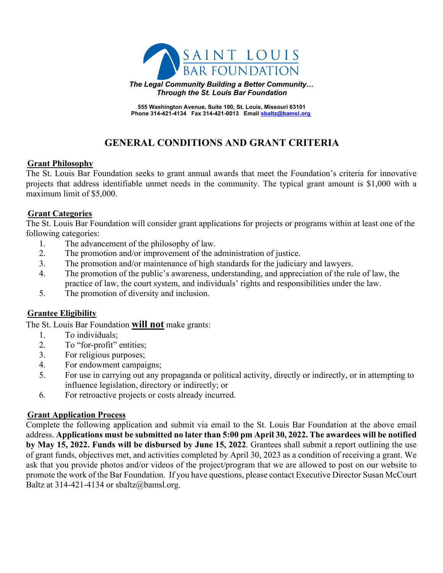

**The Legal Community Building a Better Community...** 4B*Through the St. Louis Bar Foundation*

7B**555 Washington Avenue, Suite 100, St. Louis, Missouri 63101** Phone 314-421-4134 Fax 314-421-0013 Email sbaltz@bamsl.org

# **GENERAL CONDITIONS AND GRANT CRITERIA**

#### **Grant Philosophy**

The St. Louis Bar Foundation seeks to grant annual awards that meet the Foundation's criteria for innovative projects that address identifiable unmet needs in the community. The typical grant amount is \$1,000 with a maximum limit of \$5,000.

#### **Grant Categories**

The St. Louis Bar Foundation will consider grant applications for projects or programs within at least one of the following categories:

- 1. The advancement of the philosophy of law.
- 2. The promotion and/or improvement of the administration of justice.
- 3. The promotion and/or maintenance of high standards for the judiciary and lawyers.
- 4. The promotion of the public's awareness, understanding, and appreciation of the rule of law, the practice of law, the court system, and individuals' rights and responsibilities under the law.
- 5. The promotion of diversity and inclusion.

### **Grantee Eligibility**

The St. Louis Bar Foundation **will not** make grants:

- 1. To individuals;
- 2. To "for-profit" entities;
- 3. For religious purposes;
- 4. For endowment campaigns;
- 5. For use in carrying out any propaganda or political activity, directly or indirectly, or in attempting to influence legislation, directory or indirectly; or
- 6. For retroactive projects or costs already incurred.

### **1BUDE 1BUDE 15 Increase ST**

Complete the following application and submit via email to the St. Louis Bar Foundation at the above email address. **Applications must be submitted no later than 5:00 pm April 30, 2022. The awardees will be notified by May 15, 2022. Funds will be disbursed by June 15, 2022**. Grantees shall submit a report outlining the use of grant funds, objectives met, and activities completed by April 30, 2023 as a condition of receiving a grant. We ask that you provide photos and/or videos of the project/program that we are allowed to post on our website to promote the work of the Bar Foundation. If you have questions, please contact Executive Director Susan McCourt Baltz at 314-421-4134 or sbaltz@bamsl.org.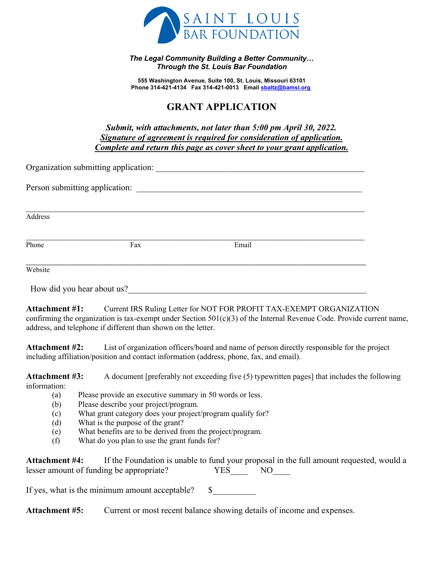

<sup>B</sup>*The Legal Community Building a Better Community…* 6B*Through the St. Louis Bar Foundation*

7B**555 Washington Avenue, Suite 100, St. Louis, Missouri 63101** Phone 314-421-4134 Fax 314-421-0013 Email sbaltz@bamsl.org

# **GRANT APPLICATION**

*Submit, with attachments, not later than 5:00 pm April 30, 2022.* <sup>U</sup>*Signature of agreement is required for consideration of application.* <sup>U</sup>*Complete and return this page as cover sheet to your grant application.*

| Organization submitting application: |     |       |  |  |  |  |  |
|--------------------------------------|-----|-------|--|--|--|--|--|
| Person submitting application:       |     |       |  |  |  |  |  |
|                                      |     |       |  |  |  |  |  |
| Address                              |     |       |  |  |  |  |  |
| Phone                                | Fax | Email |  |  |  |  |  |
|                                      |     |       |  |  |  |  |  |
| Website                              |     |       |  |  |  |  |  |
| How did you hear about us?           |     |       |  |  |  |  |  |

**Attachment #1:** Current IRS Ruling Letter for NOT FOR PROFIT TAX-EXEMPT ORGANIZATION confirming the organization is tax-exempt under Section  $501(c)(3)$  of the Internal Revenue Code. Provide current name, address, and telephone if different than shown on the letter.

**Attachment #2:** List of organization officers/board and name of person directly responsible for the project including affiliation/position and contact information (address, phone, fax, and email).

**Attachment #3:** A document [preferably not exceeding five (5) typewritten pages] that includes the following information:

- (a) Please provide an executive summary in 50 words or less.
- (b) Please describe your project/program.
- (c) What grant category does your project/program qualify for?
- (d) What is the purpose of the grant?
- (e) What benefits are to be derived from the project/program.
- (f) What do you plan to use the grant funds for?

| <b>Attachment #4:</b>                    | If the Foundation is unable to fund your proposal in the full amount requested, would a |     |    |  |
|------------------------------------------|-----------------------------------------------------------------------------------------|-----|----|--|
| lesser amount of funding be appropriate? |                                                                                         | YES | NO |  |

If yes, what is the minimum amount acceptable?  $\$\$ 

**Attachment #5:** Current or most recent balance showing details of income and expenses.